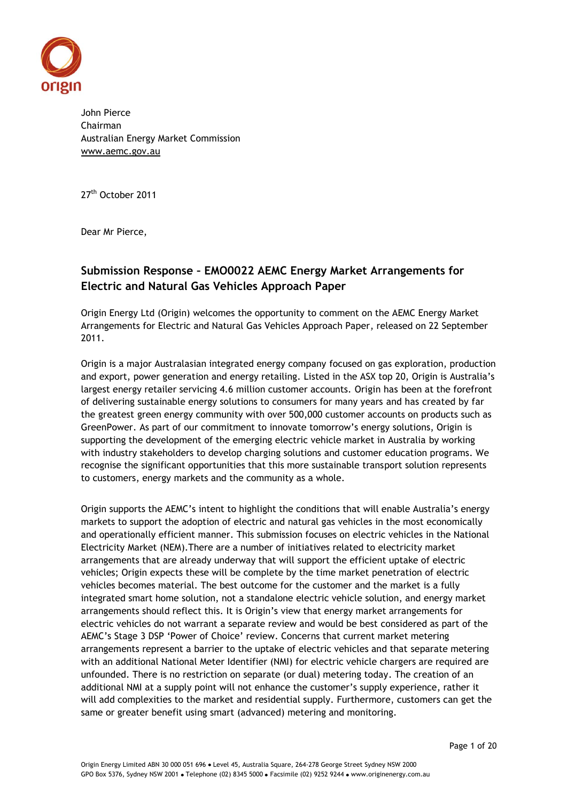

John Pierce Chairman Australian Energy Market Commission [www.aemc.gov.au](http://www.aemc.gov.au/)

27<sup>th</sup> October 2011

Dear Mr Pierce,

# **Submission Response – EMO0022 AEMC Energy Market Arrangements for Electric and Natural Gas Vehicles Approach Paper**

Origin Energy Ltd (Origin) welcomes the opportunity to comment on the AEMC Energy Market Arrangements for Electric and Natural Gas Vehicles Approach Paper, released on 22 September 2011.

Origin is a major Australasian integrated energy company focused on gas exploration, production and export, power generation and energy retailing. Listed in the ASX top 20, Origin is Australia's largest energy retailer servicing 4.6 million customer accounts. Origin has been at the forefront of delivering sustainable energy solutions to consumers for many years and has created by far the greatest green energy community with over 500,000 customer accounts on products such as GreenPower. As part of our commitment to innovate tomorrow's energy solutions, Origin is supporting the development of the emerging electric vehicle market in Australia by working with industry stakeholders to develop charging solutions and customer education programs. We recognise the significant opportunities that this more sustainable transport solution represents to customers, energy markets and the community as a whole.

Origin supports the AEMC's intent to highlight the conditions that will enable Australia's energy markets to support the adoption of electric and natural gas vehicles in the most economically and operationally efficient manner. This submission focuses on electric vehicles in the National Electricity Market (NEM).There are a number of initiatives related to electricity market arrangements that are already underway that will support the efficient uptake of electric vehicles; Origin expects these will be complete by the time market penetration of electric vehicles becomes material. The best outcome for the customer and the market is a fully integrated smart home solution, not a standalone electric vehicle solution, and energy market arrangements should reflect this. It is Origin's view that energy market arrangements for electric vehicles do not warrant a separate review and would be best considered as part of the AEMC's Stage 3 DSP 'Power of Choice' review. Concerns that current market metering arrangements represent a barrier to the uptake of electric vehicles and that separate metering with an additional National Meter Identifier (NMI) for electric vehicle chargers are required are unfounded. There is no restriction on separate (or dual) metering today. The creation of an additional NMI at a supply point will not enhance the customer's supply experience, rather it will add complexities to the market and residential supply. Furthermore, customers can get the same or greater benefit using smart (advanced) metering and monitoring.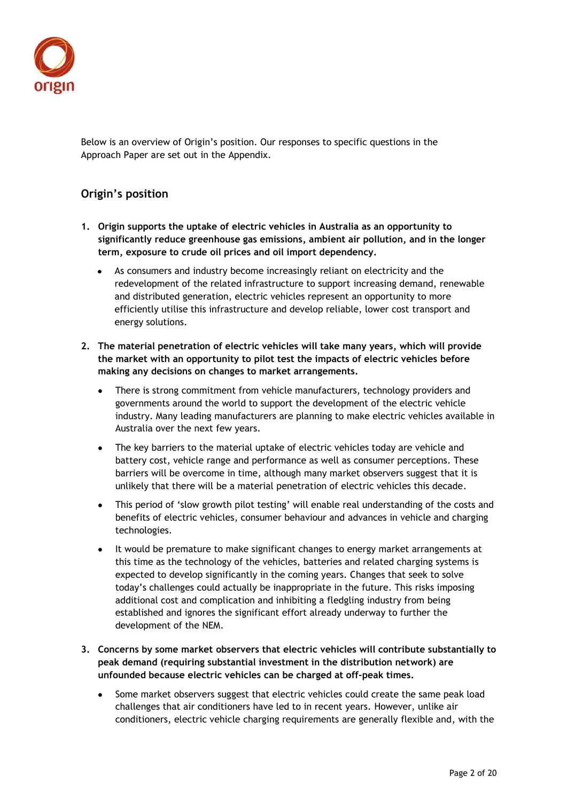

Below is an overview of Origin's position. Our responses to specific questions in the Approach Paper are set out in the Appendix.

# **Origin's position**

- **1. Origin supports the uptake of electric vehicles in Australia as an opportunity to significantly reduce greenhouse gas emissions, ambient air pollution, and in the longer term, exposure to crude oil prices and oil import dependency.**
	- As consumers and industry become increasingly reliant on electricity and the redevelopment of the related infrastructure to support increasing demand, renewable and distributed generation, electric vehicles represent an opportunity to more efficiently utilise this infrastructure and develop reliable, lower cost transport and energy solutions.
- **2. The material penetration of electric vehicles will take many years, which will provide the market with an opportunity to pilot test the impacts of electric vehicles before making any decisions on changes to market arrangements.** 
	- There is strong commitment from vehicle manufacturers, technology providers and governments around the world to support the development of the electric vehicle industry. Many leading manufacturers are planning to make electric vehicles available in Australia over the next few years.
	- The key barriers to the material uptake of electric vehicles today are vehicle and battery cost, vehicle range and performance as well as consumer perceptions. These barriers will be overcome in time, although many market observers suggest that it is unlikely that there will be a material penetration of electric vehicles this decade.
	- This period of 'slow growth pilot testing' will enable real understanding of the costs and  $\bullet$ benefits of electric vehicles, consumer behaviour and advances in vehicle and charging technologies.
	- It would be premature to make significant changes to energy market arrangements at this time as the technology of the vehicles, batteries and related charging systems is expected to develop significantly in the coming years. Changes that seek to solve today's challenges could actually be inappropriate in the future. This risks imposing additional cost and complication and inhibiting a fledgling industry from being established and ignores the significant effort already underway to further the development of the NEM.
- **3. Concerns by some market observers that electric vehicles will contribute substantially to peak demand (requiring substantial investment in the distribution network) are unfounded because electric vehicles can be charged at off-peak times.**
	- Some market observers suggest that electric vehicles could create the same peak load challenges that air conditioners have led to in recent years. However, unlike air conditioners, electric vehicle charging requirements are generally flexible and, with the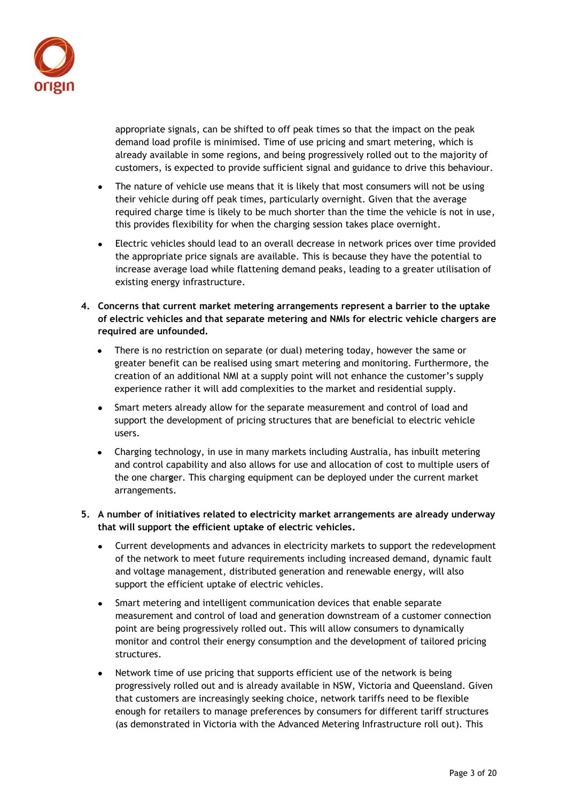

appropriate signals, can be shifted to off peak times so that the impact on the peak demand load profile is minimised. Time of use pricing and smart metering, which is already available in some regions, and being progressively rolled out to the majority of customers, is expected to provide sufficient signal and guidance to drive this behaviour.

- The nature of vehicle use means that it is likely that most consumers will not be using  $\bullet$ their vehicle during off peak times, particularly overnight. Given that the average required charge time is likely to be much shorter than the time the vehicle is not in use, this provides flexibility for when the charging session takes place overnight.
- Electric vehicles should lead to an overall decrease in network prices over time provided the appropriate price signals are available. This is because they have the potential to increase average load while flattening demand peaks, leading to a greater utilisation of existing energy infrastructure.
- **4. Concerns that current market metering arrangements represent a barrier to the uptake of electric vehicles and that separate metering and NMIs for electric vehicle chargers are required are unfounded.**
	- There is no restriction on separate (or dual) metering today, however the same or greater benefit can be realised using smart metering and monitoring. Furthermore, the creation of an additional NMI at a supply point will not enhance the customer's supply experience rather it will add complexities to the market and residential supply.
	- Smart meters already allow for the separate measurement and control of load and support the development of pricing structures that are beneficial to electric vehicle users.
	- Charging technology, in use in many markets including Australia, has inbuilt metering and control capability and also allows for use and allocation of cost to multiple users of the one char**g**er. This charging equipment can be deployed under the current market arrangements.
- **5. A number of initiatives related to electricity market arrangements are already underway that will support the efficient uptake of electric vehicles.**
	- Current developments and advances in electricity markets to support the redevelopment  $\bullet$ of the network to meet future requirements including increased demand, dynamic fault and voltage management, distributed generation and renewable energy, will also support the efficient uptake of electric vehicles.
	- Smart metering and intelligent communication devices that enable separate measurement and control of load and generation downstream of a customer connection point are being progressively rolled out. This will allow consumers to dynamically monitor and control their energy consumption and the development of tailored pricing structures.
	- Network time of use pricing that supports efficient use of the network is being progressively rolled out and is already available in NSW, Victoria and Queensland. Given that customers are increasingly seeking choice, network tariffs need to be flexible enough for retailers to manage preferences by consumers for different tariff structures (as demonstrated in Victoria with the Advanced Metering Infrastructure roll out). This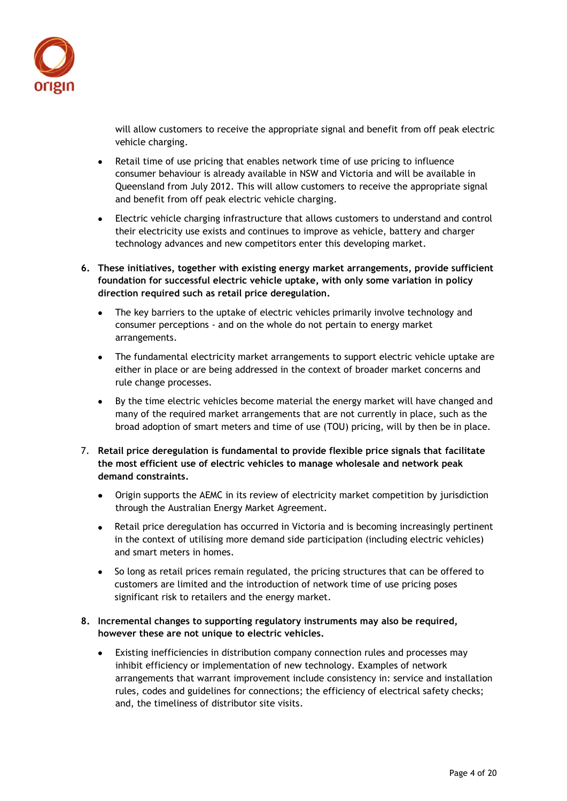

will allow customers to receive the appropriate signal and benefit from off peak electric vehicle charging.

- Retail time of use pricing that enables network time of use pricing to influence consumer behaviour is already available in NSW and Victoria and will be available in Queensland from July 2012. This will allow customers to receive the appropriate signal and benefit from off peak electric vehicle charging.
- Electric vehicle charging infrastructure that allows customers to understand and control their electricity use exists and continues to improve as vehicle, battery and charger technology advances and new competitors enter this developing market.
- **6. These initiatives, together with existing energy market arrangements, provide sufficient foundation for successful electric vehicle uptake, with only some variation in policy direction required such as retail price deregulation.**
	- The key barriers to the uptake of electric vehicles primarily involve technology and consumer perceptions - and on the whole do not pertain to energy market arrangements.
	- The fundamental electricity market arrangements to support electric vehicle uptake are either in place or are being addressed in the context of broader market concerns and rule change processes.
	- By the time electric vehicles become material the energy market will have changed and many of the required market arrangements that are not currently in place, such as the broad adoption of smart meters and time of use (TOU) pricing, will by then be in place.
- 7. **Retail price deregulation is fundamental to provide flexible price signals that facilitate the most efficient use of electric vehicles to manage wholesale and network peak demand constraints.** 
	- Origin supports the AEMC in its review of electricity market competition by jurisdiction  $\bullet$ through the Australian Energy Market Agreement.
	- Retail price deregulation has occurred in Victoria and is becoming increasingly pertinent  $\bullet$ in the context of utilising more demand side participation (including electric vehicles) and smart meters in homes.
	- So long as retail prices remain regulated, the pricing structures that can be offered to customers are limited and the introduction of network time of use pricing poses significant risk to retailers and the energy market.

# **8. Incremental changes to supporting regulatory instruments may also be required, however these are not unique to electric vehicles.**

Existing inefficiencies in distribution company connection rules and processes may inhibit efficiency or implementation of new technology. Examples of network arrangements that warrant improvement include consistency in: service and installation rules, codes and guidelines for connections; the efficiency of electrical safety checks; and, the timeliness of distributor site visits.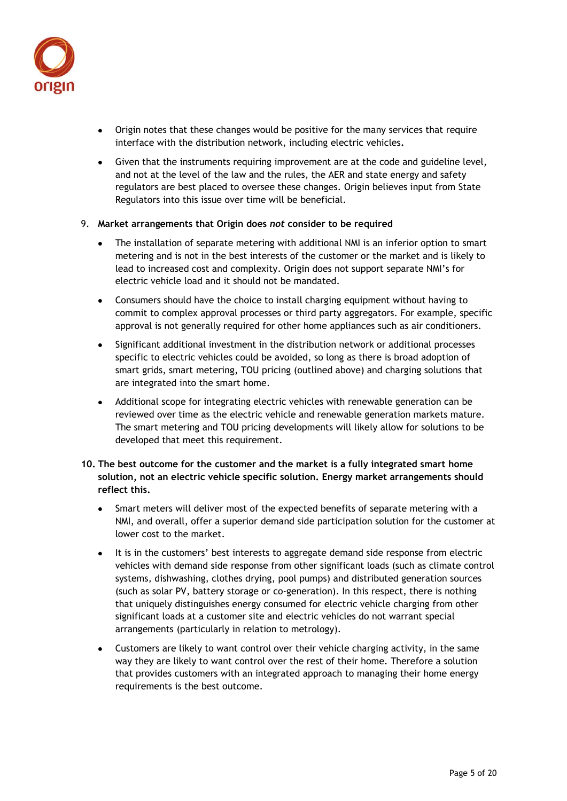

- Origin notes that these changes would be positive for the many services that require interface with the distribution network, including electric vehicles**.**
- Given that the instruments requiring improvement are at the code and guideline level, and not at the level of the law and the rules, the AER and state energy and safety regulators are best placed to oversee these changes. Origin believes input from State Regulators into this issue over time will be beneficial.
- 9. **Market arrangements that Origin does** *not* **consider to be required**
	- The installation of separate metering with additional NMI is an inferior option to smart metering and is not in the best interests of the customer or the market and is likely to lead to increased cost and complexity. Origin does not support separate NMI's for electric vehicle load and it should not be mandated.
	- Consumers should have the choice to install charging equipment without having to commit to complex approval processes or third party aggregators. For example, specific approval is not generally required for other home appliances such as air conditioners.
	- Significant additional investment in the distribution network or additional processes specific to electric vehicles could be avoided, so long as there is broad adoption of smart grids, smart metering, TOU pricing (outlined above) and charging solutions that are integrated into the smart home.
	- Additional scope for integrating electric vehicles with renewable generation can be reviewed over time as the electric vehicle and renewable generation markets mature. The smart metering and TOU pricing developments will likely allow for solutions to be developed that meet this requirement.
- **10. The best outcome for the customer and the market is a fully integrated smart home solution, not an electric vehicle specific solution. Energy market arrangements should reflect this.**
	- Smart meters will deliver most of the expected benefits of separate metering with a  $\bullet$ NMI, and overall, offer a superior demand side participation solution for the customer at lower cost to the market.
	- It is in the customers' best interests to aggregate demand side response from electric vehicles with demand side response from other significant loads (such as climate control systems, dishwashing, clothes drying, pool pumps) and distributed generation sources (such as solar PV, battery storage or co-generation). In this respect, there is nothing that uniquely distinguishes energy consumed for electric vehicle charging from other significant loads at a customer site and electric vehicles do not warrant special arrangements (particularly in relation to metrology).
	- Customers are likely to want control over their vehicle charging activity, in the same way they are likely to want control over the rest of their home. Therefore a solution that provides customers with an integrated approach to managing their home energy requirements is the best outcome.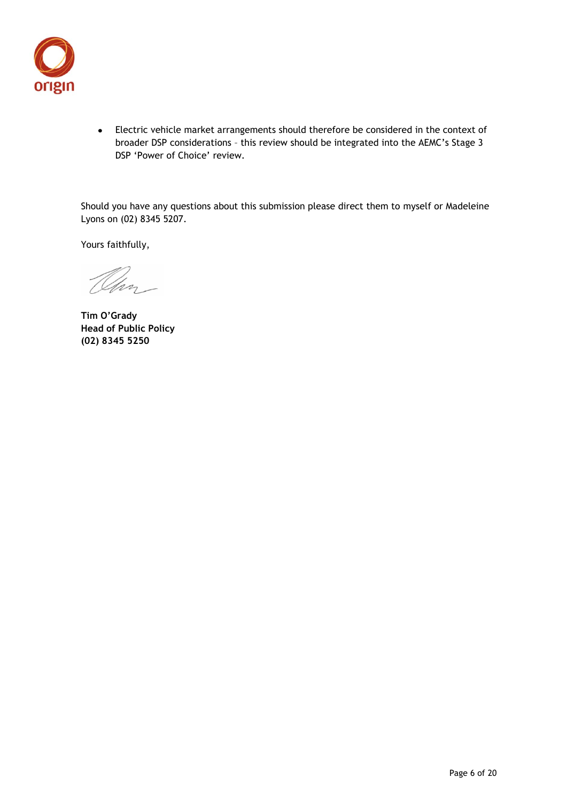

Electric vehicle market arrangements should therefore be considered in the context of broader DSP considerations – this review should be integrated into the AEMC's Stage 3 DSP 'Power of Choice' review.

Should you have any questions about this submission please direct them to myself or Madeleine Lyons on (02) 8345 5207.

Yours faithfully,

Olin

**Tim O'Grady Head of Public Policy (02) 8345 5250**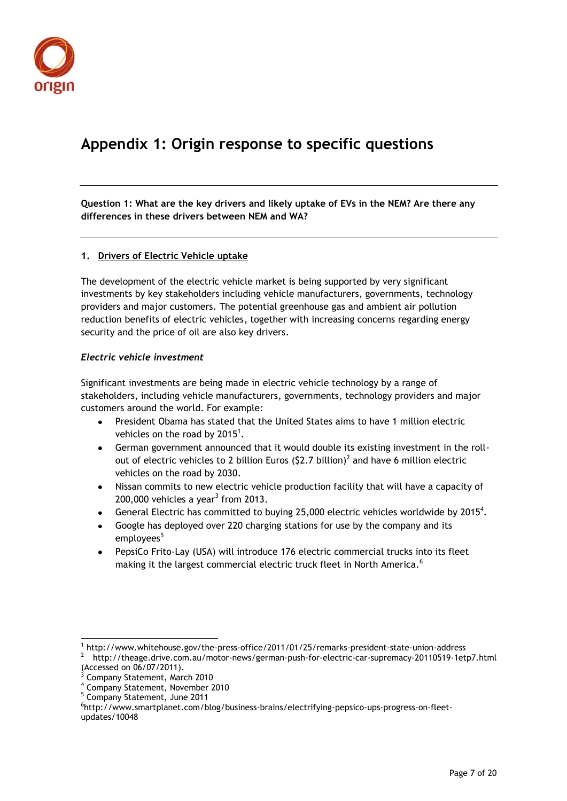

# **Appendix 1: Origin response to specific questions**

**Question 1: What are the key drivers and likely uptake of EVs in the NEM? Are there any differences in these drivers between NEM and WA?** 

# **1. Drivers of Electric Vehicle uptake**

The development of the electric vehicle market is being supported by very significant investments by key stakeholders including vehicle manufacturers, governments, technology providers and major customers. The potential greenhouse gas and ambient air pollution reduction benefits of electric vehicles, together with increasing concerns regarding energy security and the price of oil are also key drivers.

#### *Electric vehicle investment*

Significant investments are being made in electric vehicle technology by a range of stakeholders, including vehicle manufacturers, governments, technology providers and major customers around the world. For example:

- President Obama has stated that the United States aims to have 1 million electric vehicles on the road by  $2015<sup>1</sup>$ .
- German government announced that it would double its existing investment in the rollout of electric vehicles to 2 billion Euros (\$2.7 billion)<sup>2</sup> and have 6 million electric vehicles on the road by 2030.
- Nissan commits to new electric vehicle production facility that will have a capacity of  $200,000$  vehicles a year<sup>3</sup> from  $2013$ .
- General Electric has committed to buying 25,000 electric vehicles worldwide by  $2015^4$ .
- Google has deployed over 220 charging stations for use by the company and its employees<sup>5</sup>
- PepsiCo Frito-Lay (USA) will introduce 176 electric commercial trucks into its fleet making it the largest commercial electric truck fleet in North America.<sup>6</sup>

<sup>-</sup>1 http://www.whitehouse.gov/the-press-office/2011/01/25/remarks-president-state-union-address

<sup>2</sup> <http://theage.drive.com.au/motor-news/german-push-for-electric-car-supremacy-20110519-1etp7.html> (Accessed on 06/07/2011).

<sup>&</sup>lt;sup>3</sup> Company Statement, March 2010

<sup>4</sup> Company Statement, November 2010

<sup>5</sup> Company Statement, June 2011

<sup>&</sup>lt;sup>6</sup>http://www.smartplanet.com/blog/business-brains/electrifying-pepsico-ups-progress-on-fleetupdates/10048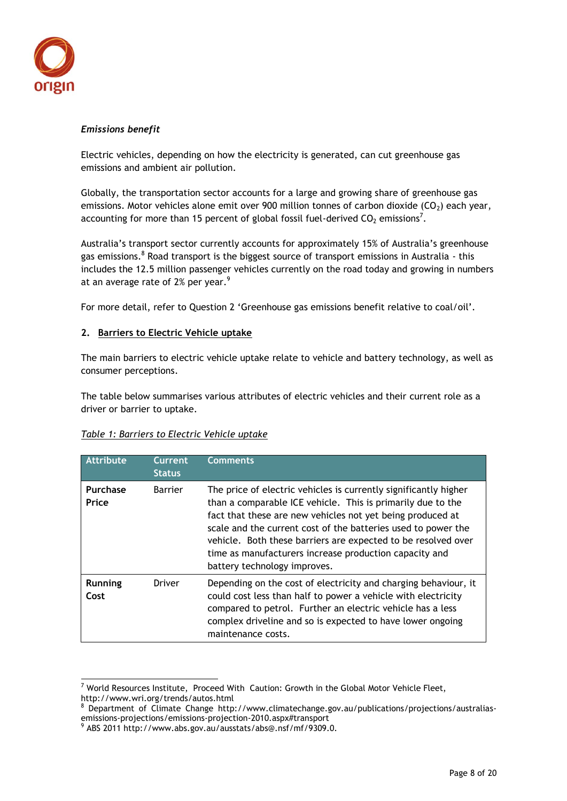

#### *Emissions benefit*

Electric vehicles, depending on how the electricity is generated, can cut greenhouse gas emissions and ambient air pollution.

Globally, the transportation sector accounts for a large and growing share of greenhouse gas emissions. Motor vehicles alone emit over 900 million tonnes of carbon dioxide  $(CO<sub>2</sub>)$  each year, accounting for more than 15 percent of global fossil fuel-derived  $CO<sub>2</sub>$  emissions<sup>7</sup>.

Australia's transport sector currently accounts for approximately 15% of Australia's greenhouse gas emissions.<sup>8</sup> Road transport is the biggest source of transport emissions in Australia - this includes the 12.5 million passenger vehicles currently on the road today and growing in numbers at an average rate of 2% per year.<sup>9</sup>

For more detail, refer to Question 2 'Greenhouse gas emissions benefit relative to coal/oil'.

#### **2. Barriers to Electric Vehicle uptake**

The main barriers to electric vehicle uptake relate to vehicle and battery technology, as well as consumer perceptions.

The table below summarises various attributes of electric vehicles and their current role as a driver or barrier to uptake.

#### *Table 1: Barriers to Electric Vehicle uptake*

| <b>Attribute</b>       | <b>Current</b><br><b>Status</b> | <b>Comments</b>                                                                                                                                                                                                                                                                                                                                                                                                           |
|------------------------|---------------------------------|---------------------------------------------------------------------------------------------------------------------------------------------------------------------------------------------------------------------------------------------------------------------------------------------------------------------------------------------------------------------------------------------------------------------------|
| Purchase<br>Price      | <b>Barrier</b>                  | The price of electric vehicles is currently significantly higher<br>than a comparable ICE vehicle. This is primarily due to the<br>fact that these are new vehicles not yet being produced at<br>scale and the current cost of the batteries used to power the<br>vehicle. Both these barriers are expected to be resolved over<br>time as manufacturers increase production capacity and<br>battery technology improves. |
| <b>Running</b><br>Cost | Driver                          | Depending on the cost of electricity and charging behaviour, it<br>could cost less than half to power a vehicle with electricity<br>compared to petrol. Further an electric vehicle has a less<br>complex driveline and so is expected to have lower ongoing<br>maintenance costs.                                                                                                                                        |

-

 $^7$  World Resources Institute, Proceed With Caution: Growth in the Global Motor Vehicle Fleet, <http://www.wri.org/trends/autos.html>

 $8$  Department of Climate Change [http://www.climatechange.gov.au/publications/projections/australias](http://www.climatechange.gov.au/publications/projections/australias-emissions-projections/emissions-projection-2010.aspx#transport)[emissions-projections/emissions-projection-2010.aspx#transport](http://www.climatechange.gov.au/publications/projections/australias-emissions-projections/emissions-projection-2010.aspx#transport)

<sup>9</sup> ABS 2011 [http://www.abs.gov.au/ausstats/abs@.nsf/mf/9309.0.](http://www.abs.gov.au/ausstats/abs@.nsf/mf/9309.0)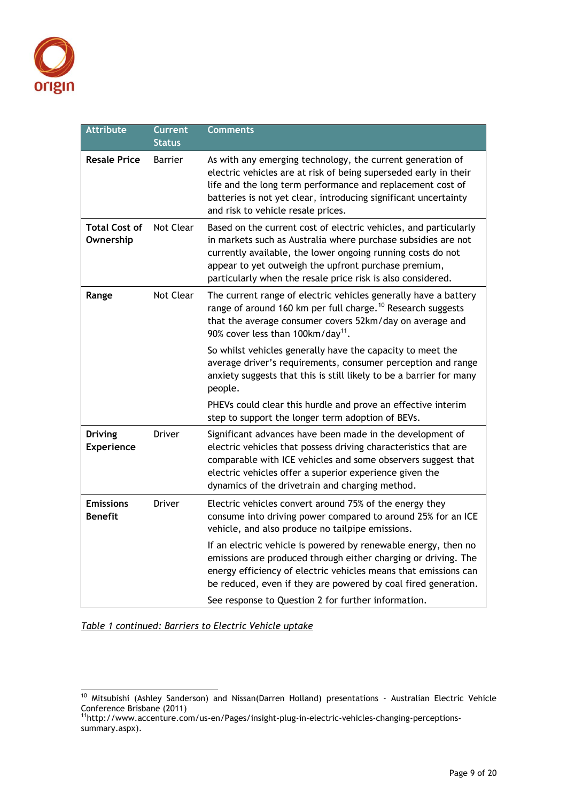

| <b>Attribute</b>                    | Current<br>Status | <b>Comments</b>                                                                                                                                                                                                                                                                                                         |
|-------------------------------------|-------------------|-------------------------------------------------------------------------------------------------------------------------------------------------------------------------------------------------------------------------------------------------------------------------------------------------------------------------|
| <b>Resale Price</b>                 | <b>Barrier</b>    | As with any emerging technology, the current generation of<br>electric vehicles are at risk of being superseded early in their<br>life and the long term performance and replacement cost of<br>batteries is not yet clear, introducing significant uncertainty<br>and risk to vehicle resale prices.                   |
| <b>Total Cost of</b><br>Ownership   | Not Clear         | Based on the current cost of electric vehicles, and particularly<br>in markets such as Australia where purchase subsidies are not<br>currently available, the lower ongoing running costs do not<br>appear to yet outweigh the upfront purchase premium,<br>particularly when the resale price risk is also considered. |
| Range                               | Not Clear         | The current range of electric vehicles generally have a battery<br>range of around 160 km per full charge. <sup>10</sup> Research suggests<br>that the average consumer covers 52km/day on average and<br>90% cover less than 100km/day <sup>11</sup> .                                                                 |
|                                     |                   | So whilst vehicles generally have the capacity to meet the<br>average driver's requirements, consumer perception and range<br>anxiety suggests that this is still likely to be a barrier for many<br>people.                                                                                                            |
|                                     |                   | PHEVs could clear this hurdle and prove an effective interim<br>step to support the longer term adoption of BEVs.                                                                                                                                                                                                       |
| <b>Driving</b><br><b>Experience</b> | Driver            | Significant advances have been made in the development of<br>electric vehicles that possess driving characteristics that are<br>comparable with ICE vehicles and some observers suggest that<br>electric vehicles offer a superior experience given the<br>dynamics of the drivetrain and charging method.              |
| <b>Emissions</b><br><b>Benefit</b>  | <b>Driver</b>     | Electric vehicles convert around 75% of the energy they<br>consume into driving power compared to around 25% for an ICE<br>vehicle, and also produce no tailpipe emissions.                                                                                                                                             |
|                                     |                   | If an electric vehicle is powered by renewable energy, then no<br>emissions are produced through either charging or driving. The<br>energy efficiency of electric vehicles means that emissions can<br>be reduced, even if they are powered by coal fired generation.                                                   |
|                                     |                   | See response to Question 2 for further information.                                                                                                                                                                                                                                                                     |

*Table 1 continued: Barriers to Electric Vehicle uptake*

-

<sup>&</sup>lt;sup>10</sup> Mitsubishi (Ashley Sanderson) and Nissan(Darren Holland) presentations - Australian Electric Vehicle Conference Brisbane (2011)

<sup>&</sup>lt;sup>11</sup>[http://www.accenture.com/us-en/Pages/insight-plug-in-electric-vehicles-changing-perceptions](http://www.accenture.com/us-en/Pages/insight-plug-in-electric-vehicles-changing-perceptions-summary.aspx)[summary.aspx\)](http://www.accenture.com/us-en/Pages/insight-plug-in-electric-vehicles-changing-perceptions-summary.aspx).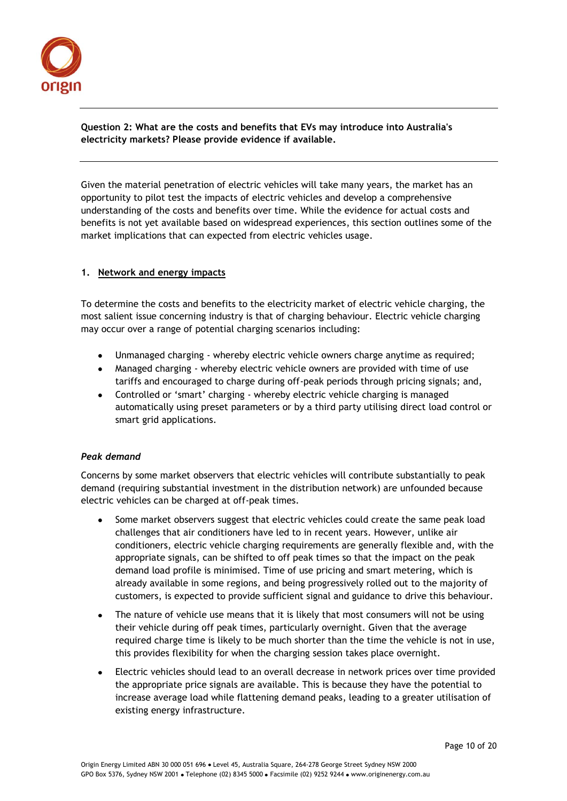

# **Question 2: What are the costs and benefits that EVs may introduce into Australia's electricity markets? Please provide evidence if available.**

Given the material penetration of electric vehicles will take many years, the market has an opportunity to pilot test the impacts of electric vehicles and develop a comprehensive understanding of the costs and benefits over time. While the evidence for actual costs and benefits is not yet available based on widespread experiences, this section outlines some of the market implications that can expected from electric vehicles usage.

# **1. Network and energy impacts**

To determine the costs and benefits to the electricity market of electric vehicle charging, the most salient issue concerning industry is that of charging behaviour. Electric vehicle charging may occur over a range of potential charging scenarios including:

- Unmanaged charging whereby electric vehicle owners charge anytime as required;
- Managed charging whereby electric vehicle owners are provided with time of use tariffs and encouraged to charge during off-peak periods through pricing signals; and,
- Controlled or 'smart' charging whereby electric vehicle charging is managed automatically using preset parameters or by a third party utilising direct load control or smart grid applications.

# *Peak demand*

Concerns by some market observers that electric vehicles will contribute substantially to peak demand (requiring substantial investment in the distribution network) are unfounded because electric vehicles can be charged at off-peak times.

- Some market observers suggest that electric vehicles could create the same peak load challenges that air conditioners have led to in recent years. However, unlike air conditioners, electric vehicle charging requirements are generally flexible and, with the appropriate signals, can be shifted to off peak times so that the impact on the peak demand load profile is minimised. Time of use pricing and smart metering, which is already available in some regions, and being progressively rolled out to the majority of customers, is expected to provide sufficient signal and guidance to drive this behaviour.
- The nature of vehicle use means that it is likely that most consumers will not be using their vehicle during off peak times, particularly overnight. Given that the average required charge time is likely to be much shorter than the time the vehicle is not in use, this provides flexibility for when the charging session takes place overnight.
- Electric vehicles should lead to an overall decrease in network prices over time provided the appropriate price signals are available. This is because they have the potential to increase average load while flattening demand peaks, leading to a greater utilisation of existing energy infrastructure.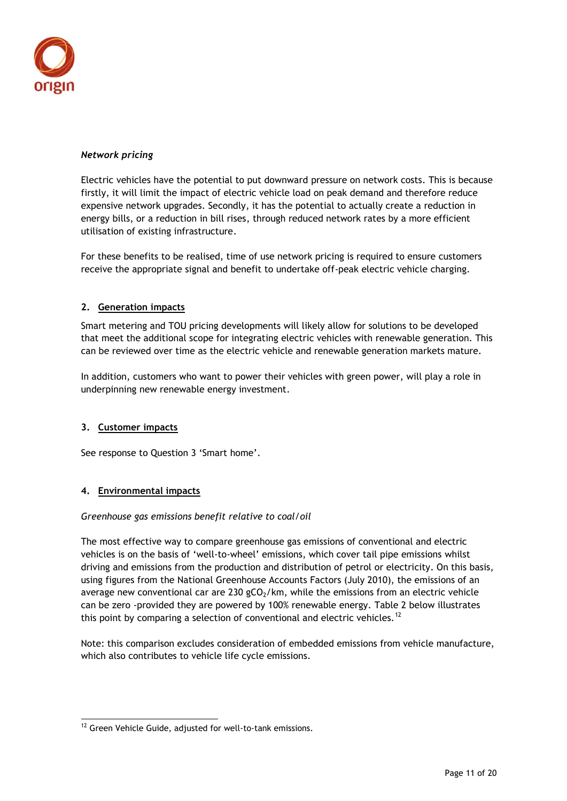

# *Network pricing*

Electric vehicles have the potential to put downward pressure on network costs. This is because firstly, it will limit the impact of electric vehicle load on peak demand and therefore reduce expensive network upgrades. Secondly, it has the potential to actually create a reduction in energy bills, or a reduction in bill rises, through reduced network rates by a more efficient utilisation of existing infrastructure.

For these benefits to be realised, time of use network pricing is required to ensure customers receive the appropriate signal and benefit to undertake off-peak electric vehicle charging.

# **2. Generation impacts**

Smart metering and TOU pricing developments will likely allow for solutions to be developed that meet the additional scope for integrating electric vehicles with renewable generation. This can be reviewed over time as the electric vehicle and renewable generation markets mature.

In addition, customers who want to power their vehicles with green power, will play a role in underpinning new renewable energy investment.

#### **3. Customer impacts**

See response to Question 3 'Smart home'.

#### **4. Environmental impacts**

 $\overline{a}$ 

#### *Greenhouse gas emissions benefit relative to coal/oil*

The most effective way to compare greenhouse gas emissions of conventional and electric vehicles is on the basis of 'well-to-wheel' emissions, which cover tail pipe emissions whilst driving and emissions from the production and distribution of petrol or electricity. On this basis, using figures from the National Greenhouse Accounts Factors (July 2010), the emissions of an average new conventional car are 230  $gCO<sub>2</sub>/km$ , while the emissions from an electric vehicle can be zero -provided they are powered by 100% renewable energy. Table 2 below illustrates this point by comparing a selection of conventional and electric vehicles.<sup>12</sup>

Note: this comparison excludes consideration of embedded emissions from vehicle manufacture, which also contributes to vehicle life cycle emissions.

<sup>&</sup>lt;sup>12</sup> Green Vehicle Guide, adjusted for well-to-tank emissions.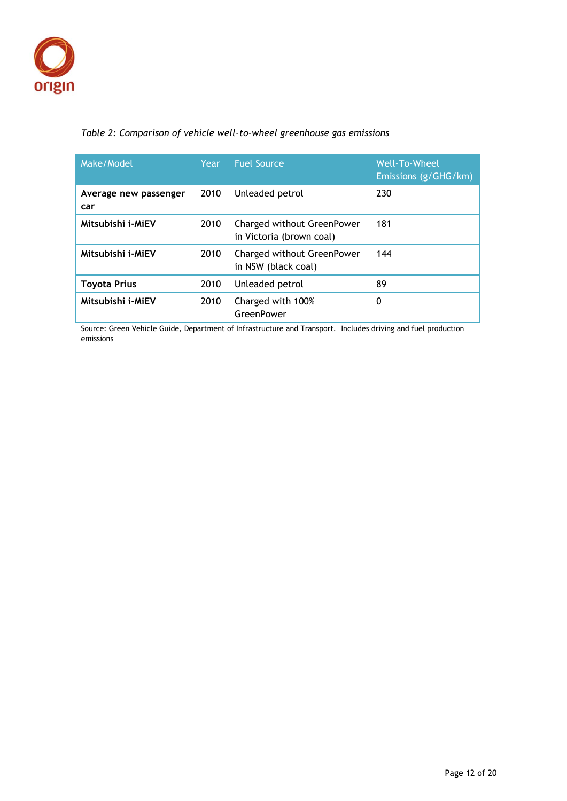

# *Table 2: Comparison of vehicle well-to-wheel greenhouse gas emissions*

| Make/Model                   | Year | <b>Fuel Source</b>                                     | Well-To-Wheel<br>Emissions (g/GHG/km) |
|------------------------------|------|--------------------------------------------------------|---------------------------------------|
| Average new passenger<br>car | 2010 | Unleaded petrol                                        | 230                                   |
| Mitsubishi i-MiEV            | 2010 | Charged without GreenPower<br>in Victoria (brown coal) | 181                                   |
| Mitsubishi i-MiEV            | 2010 | Charged without GreenPower<br>in NSW (black coal)      | 144                                   |
| Toyota Prius                 | 2010 | Unleaded petrol                                        | 89                                    |
| Mitsubishi i-MiEV            | 2010 | Charged with 100%<br>GreenPower                        | 0                                     |

Source: Green Vehicle Guide, Department of Infrastructure and Transport. Includes driving and fuel production emissions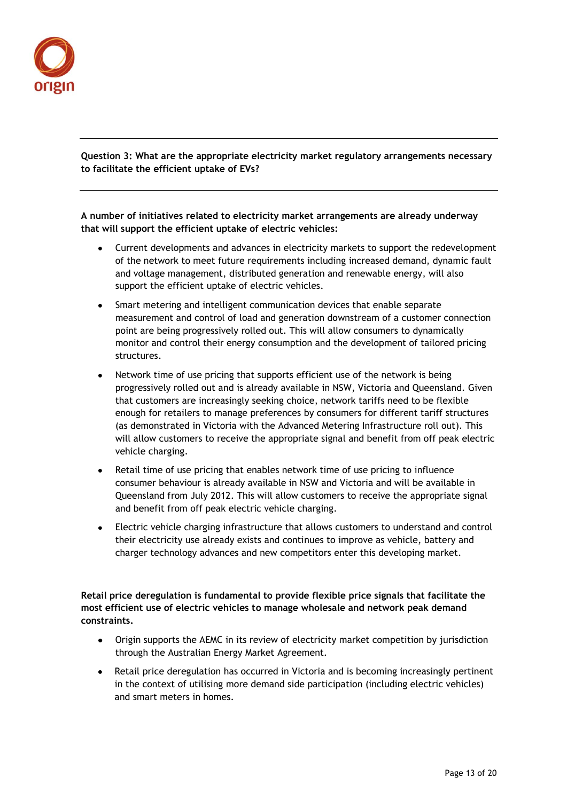

**Question 3: What are the appropriate electricity market regulatory arrangements necessary to facilitate the efficient uptake of EVs?** 

**A number of initiatives related to electricity market arrangements are already underway that will support the efficient uptake of electric vehicles:**

- Current developments and advances in electricity markets to support the redevelopment of the network to meet future requirements including increased demand, dynamic fault and voltage management, distributed generation and renewable energy, will also support the efficient uptake of electric vehicles.
- Smart metering and intelligent communication devices that enable separate measurement and control of load and generation downstream of a customer connection point are being progressively rolled out. This will allow consumers to dynamically monitor and control their energy consumption and the development of tailored pricing structures.
- Network time of use pricing that supports efficient use of the network is being progressively rolled out and is already available in NSW, Victoria and Queensland. Given that customers are increasingly seeking choice, network tariffs need to be flexible enough for retailers to manage preferences by consumers for different tariff structures (as demonstrated in Victoria with the Advanced Metering Infrastructure roll out). This will allow customers to receive the appropriate signal and benefit from off peak electric vehicle charging.
- Retail time of use pricing that enables network time of use pricing to influence consumer behaviour is already available in NSW and Victoria and will be available in Queensland from July 2012. This will allow customers to receive the appropriate signal and benefit from off peak electric vehicle charging.
- Electric vehicle charging infrastructure that allows customers to understand and control their electricity use already exists and continues to improve as vehicle, battery and charger technology advances and new competitors enter this developing market.

**Retail price deregulation is fundamental to provide flexible price signals that facilitate the most efficient use of electric vehicles to manage wholesale and network peak demand constraints.** 

- Origin supports the AEMC in its review of electricity market competition by jurisdiction  $\bullet$ through the Australian Energy Market Agreement.
- Retail price deregulation has occurred in Victoria and is becoming increasingly pertinent in the context of utilising more demand side participation (including electric vehicles) and smart meters in homes.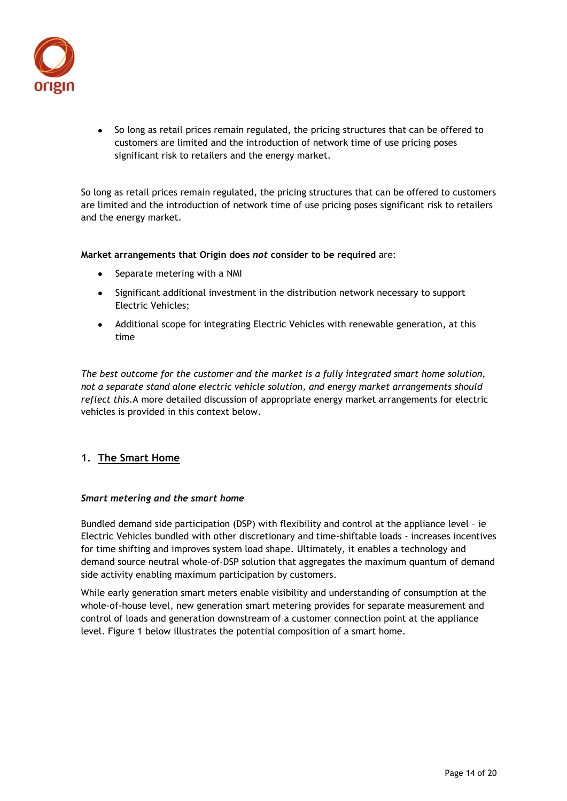

• So long as retail prices remain regulated, the pricing structures that can be offered to customers are limited and the introduction of network time of use pricing poses significant risk to retailers and the energy market.

So long as retail prices remain regulated, the pricing structures that can be offered to customers are limited and the introduction of network time of use pricing poses significant risk to retailers and the energy market.

**Market arrangements that Origin does** *not* **consider to be required** are:

- Separate metering with a NMI  $\bullet$
- Significant additional investment in the distribution network necessary to support Electric Vehicles;
- Additional scope for integrating Electric Vehicles with renewable generation, at this time

*The best outcome for the customer and the market is a fully integrated smart home solution, not a separate stand alone electric vehicle solution, and energy market arrangements should reflect this.*A more detailed discussion of appropriate energy market arrangements for electric vehicles is provided in this context below.

# **1. The Smart Home**

#### *Smart metering and the smart home*

Bundled demand side participation (DSP) with flexibility and control at the appliance level – ie Electric Vehicles bundled with other discretionary and time-shiftable loads - increases incentives for time shifting and improves system load shape*.* Ultimately, it enables a technology and demand source neutral whole-of-DSP solution that aggregates the maximum quantum of demand side activity enabling maximum participation by customers.

While early generation smart meters enable visibility and understanding of consumption at the whole-of-house level, new generation smart metering provides for separate measurement and control of loads and generation downstream of a customer connection point at the appliance level. Figure 1 below illustrates the potential composition of a smart home.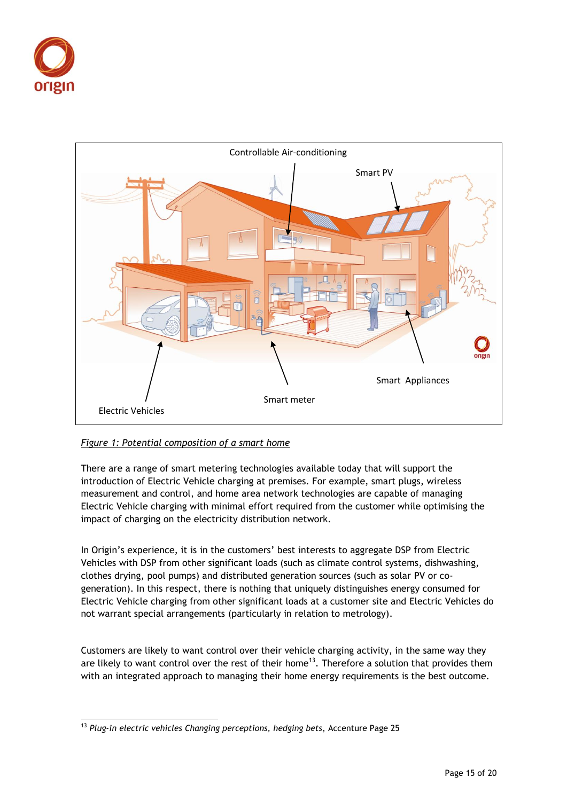



# *Figure 1: Potential composition of a smart home*

There are a range of smart metering technologies available today that will support the introduction of Electric Vehicle charging at premises. For example, smart plugs, wireless measurement and control, and home area network technologies are capable of managing Electric Vehicle charging with minimal effort required from the customer while optimising the impact of charging on the electricity distribution network.

In Origin's experience, it is in the customers' best interests to aggregate DSP from Electric Vehicles with DSP from other significant loads (such as climate control systems, dishwashing, clothes drying, pool pumps) and distributed generation sources (such as solar PV or cogeneration). In this respect, there is nothing that uniquely distinguishes energy consumed for Electric Vehicle charging from other significant loads at a customer site and Electric Vehicles do not warrant special arrangements (particularly in relation to metrology).

Customers are likely to want control over their vehicle charging activity, in the same way they are likely to want control over the rest of their home<sup>13</sup>. Therefore a solution that provides them with an integrated approach to managing their home energy requirements is the best outcome.

 $\overline{a}$ <sup>13</sup> *Plug-in electric vehicles Changing perceptions, hedging bets*, Accenture Page 25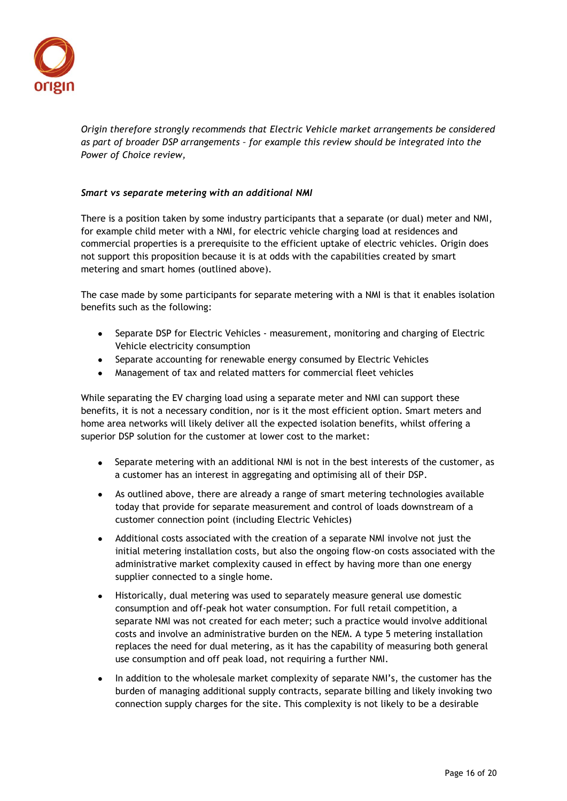

*Origin therefore strongly recommends that Electric Vehicle market arrangements be considered as part of broader DSP arrangements – for example this review should be integrated into the Power of Choice review,* 

#### *Smart vs separate metering with an additional NMI*

There is a position taken by some industry participants that a separate (or dual) meter and NMI, for example child meter with a NMI, for electric vehicle charging load at residences and commercial properties is a prerequisite to the efficient uptake of electric vehicles. Origin does not support this proposition because it is at odds with the capabilities created by smart metering and smart homes (outlined above).

The case made by some participants for separate metering with a NMI is that it enables isolation benefits such as the following:

- Separate DSP for Electric Vehicles measurement, monitoring and charging of Electric Vehicle electricity consumption
- Separate accounting for renewable energy consumed by Electric Vehicles
- Management of tax and related matters for commercial fleet vehicles

While separating the EV charging load using a separate meter and NMI can support these benefits, it is not a necessary condition, nor is it the most efficient option. Smart meters and home area networks will likely deliver all the expected isolation benefits, whilst offering a superior DSP solution for the customer at lower cost to the market:

- Separate metering with an additional NMI is not in the best interests of the customer, as a customer has an interest in aggregating and optimising all of their DSP.
- As outlined above, there are already a range of smart metering technologies available today that provide for separate measurement and control of loads downstream of a customer connection point (including Electric Vehicles)
- Additional costs associated with the creation of a separate NMI involve not just the initial metering installation costs, but also the ongoing flow-on costs associated with the administrative market complexity caused in effect by having more than one energy supplier connected to a single home.
- Historically, dual metering was used to separately measure general use domestic consumption and off-peak hot water consumption. For full retail competition, a separate NMI was not created for each meter; such a practice would involve additional costs and involve an administrative burden on the NEM. A type 5 metering installation replaces the need for dual metering, as it has the capability of measuring both general use consumption and off peak load, not requiring a further NMI.
- In addition to the wholesale market complexity of separate NMI's, the customer has the burden of managing additional supply contracts, separate billing and likely invoking two connection supply charges for the site. This complexity is not likely to be a desirable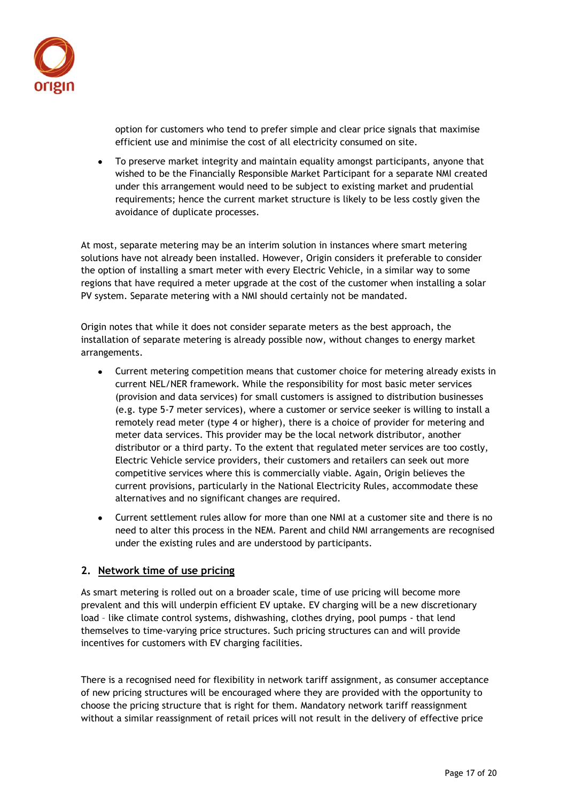

option for customers who tend to prefer simple and clear price signals that maximise efficient use and minimise the cost of all electricity consumed on site.

To preserve market integrity and maintain equality amongst participants, anyone that wished to be the Financially Responsible Market Participant for a separate NMI created under this arrangement would need to be subject to existing market and prudential requirements; hence the current market structure is likely to be less costly given the avoidance of duplicate processes.

At most, separate metering may be an interim solution in instances where smart metering solutions have not already been installed. However, Origin considers it preferable to consider the option of installing a smart meter with every Electric Vehicle, in a similar way to some regions that have required a meter upgrade at the cost of the customer when installing a solar PV system. Separate metering with a NMI should certainly not be mandated.

Origin notes that while it does not consider separate meters as the best approach, the installation of separate metering is already possible now, without changes to energy market arrangements.

- Current metering competition means that customer choice for metering already exists in current NEL/NER framework. While the responsibility for most basic meter services (provision and data services) for small customers is assigned to distribution businesses (e.g. type 5-7 meter services), where a customer or service seeker is willing to install a remotely read meter (type 4 or higher), there is a choice of provider for metering and meter data services. This provider may be the local network distributor, another distributor or a third party. To the extent that regulated meter services are too costly, Electric Vehicle service providers, their customers and retailers can seek out more competitive services where this is commercially viable. Again, Origin believes the current provisions, particularly in the National Electricity Rules, accommodate these alternatives and no significant changes are required.
- Current settlement rules allow for more than one NMI at a customer site and there is no need to alter this process in the NEM. Parent and child NMI arrangements are recognised under the existing rules and are understood by participants.

# **2. Network time of use pricing**

As smart metering is rolled out on a broader scale, time of use pricing will become more prevalent and this will underpin efficient EV uptake. EV charging will be a new discretionary load – like climate control systems, dishwashing, clothes drying, pool pumps - that lend themselves to time-varying price structures. Such pricing structures can and will provide incentives for customers with EV charging facilities.

There is a recognised need for flexibility in network tariff assignment, as consumer acceptance of new pricing structures will be encouraged where they are provided with the opportunity to choose the pricing structure that is right for them. Mandatory network tariff reassignment without a similar reassignment of retail prices will not result in the delivery of effective price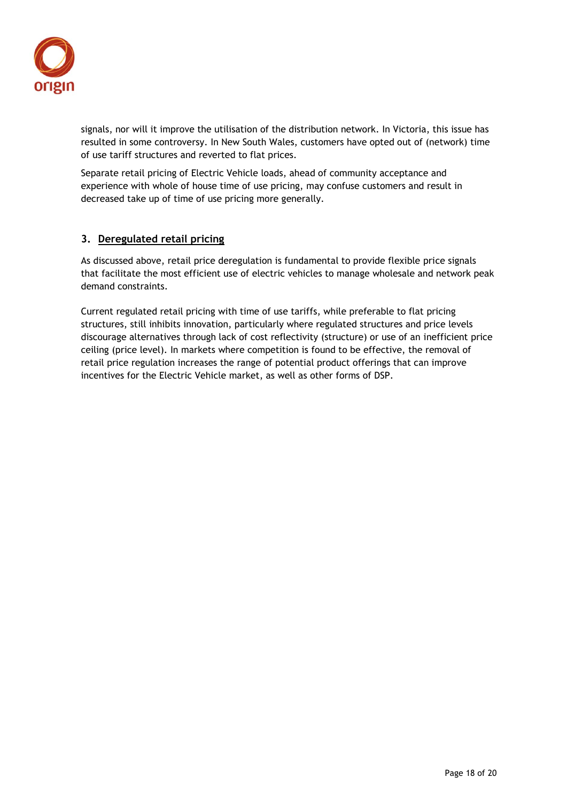

signals, nor will it improve the utilisation of the distribution network. In Victoria, this issue has resulted in some controversy. In New South Wales, customers have opted out of (network) time of use tariff structures and reverted to flat prices.

Separate retail pricing of Electric Vehicle loads, ahead of community acceptance and experience with whole of house time of use pricing, may confuse customers and result in decreased take up of time of use pricing more generally.

# **3. Deregulated retail pricing**

As discussed above, retail price deregulation is fundamental to provide flexible price signals that facilitate the most efficient use of electric vehicles to manage wholesale and network peak demand constraints.

Current regulated retail pricing with time of use tariffs, while preferable to flat pricing structures, still inhibits innovation, particularly where regulated structures and price levels discourage alternatives through lack of cost reflectivity (structure) or use of an inefficient price ceiling (price level). In markets where competition is found to be effective, the removal of retail price regulation increases the range of potential product offerings that can improve incentives for the Electric Vehicle market, as well as other forms of DSP.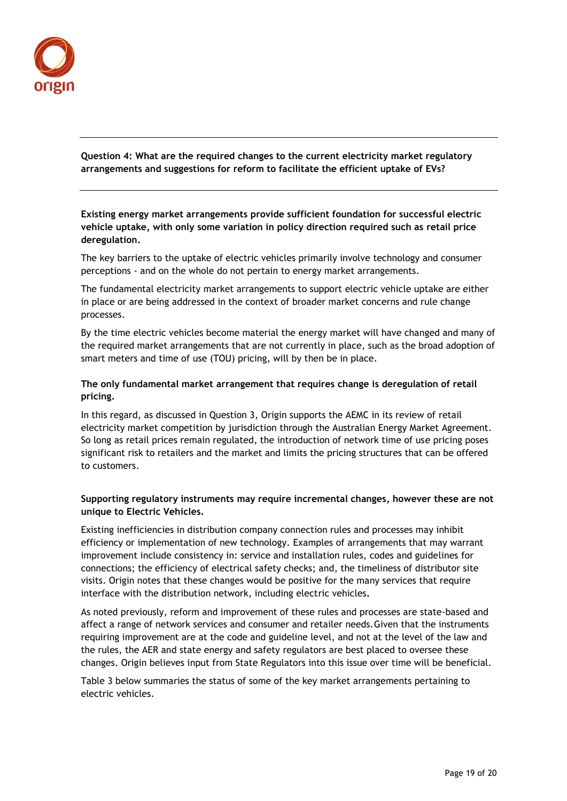

**Question 4: What are the required changes to the current electricity market regulatory arrangements and suggestions for reform to facilitate the efficient uptake of EVs?** 

**Existing energy market arrangements provide sufficient foundation for successful electric vehicle uptake, with only some variation in policy direction required such as retail price deregulation.**

The key barriers to the uptake of electric vehicles primarily involve technology and consumer perceptions - and on the whole do not pertain to energy market arrangements.

The fundamental electricity market arrangements to support electric vehicle uptake are either in place or are being addressed in the context of broader market concerns and rule change processes.

By the time electric vehicles become material the energy market will have changed and many of the required market arrangements that are not currently in place, such as the broad adoption of smart meters and time of use (TOU) pricing, will by then be in place.

# **The only fundamental market arrangement that requires change is deregulation of retail pricing.**

In this regard, as discussed in Question 3, Origin supports the AEMC in its review of retail electricity market competition by jurisdiction through the Australian Energy Market Agreement. So long as retail prices remain regulated, the introduction of network time of use pricing poses significant risk to retailers and the market and limits the pricing structures that can be offered to customers.

# **Supporting regulatory instruments may require incremental changes, however these are not unique to Electric Vehicles.**

Existing inefficiencies in distribution company connection rules and processes may inhibit efficiency or implementation of new technology. Examples of arrangements that may warrant improvement include consistency in: service and installation rules, codes and guidelines for connections; the efficiency of electrical safety checks; and, the timeliness of distributor site visits. Origin notes that these changes would be positive for the many services that require interface with the distribution network, including electric vehicles**.**

As noted previously, reform and improvement of these rules and processes are state-based and affect a range of network services and consumer and retailer needs.Given that the instruments requiring improvement are at the code and guideline level, and not at the level of the law and the rules, the AER and state energy and safety regulators are best placed to oversee these changes. Origin believes input from State Regulators into this issue over time will be beneficial.

Table 3 below summaries the status of some of the key market arrangements pertaining to electric vehicles.